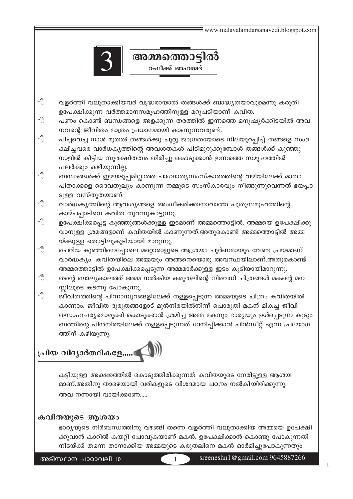

- 个 വളർത്തി വലുതാക്കിയവർ വൃദ്ധരായാൽ തങ്ങൾക്ക് ബാദ്ധ്യതയാവുമെന്നു കരുതി ഉപേക്ഷിക്കുന്ന വർത്തമാനസമൂഹത്തിനുള്ള മറുപടിയാണ് കവിത.
- പണം കൊണ്ട് ബന്ധങ്ങളെ അളക്കുന്ന തരത്തിൽ ഇന്നത്തെ മനുഷ്യർക്കിടയിൽ അവ നവന്റെ ജീവിതം മാത്രം പ്രധാനമായി കാണുന്നവരുണ്ട്.

അമ്മത്തൊട്ടിൽ റഫീക്ക് അഹമ്മദ്

- ∕A പിച്ചവെച്ച നാൾ മുതൽ തങ്ങൾക്കു ചുറ്റു ജാഗ്രതയോടെ നിലയുറപ്പിച്ച് തങ്ങളെ സംര ക്ഷിച്ചവരെ വാർധകൃത്തിന്റെ അവശതകൾ പിടിമുറുക്കുമ്പോൾ തങ്ങൾക്ക് കുഞ്ഞു നാളിൽ കിട്ടിയ സുരക്ഷിതത്വം തിരിച്ചു കൊടുക്കാൻ ഇന്നത്തെ സമൂഹത്തിൽ പലർക്കും കഴിയുന്നില്ല.
- 个 ബന്ധങ്ങൾക്ക് ഇഴയടുപ്പമില്ലാത്ത പാശ്ചാതൃസംസ്കാരത്തിന്റെ വഴിയിലേക്ക് മാതാ പിതാക്കളെ ദൈവതുല്യം കാണുന്ന നമ്മുടെ സംസ്കാരവും നീങ്ങുന്നുവെന്നത് ഭയപ്പാ ടുള്ള വസ്തുതയാണ്.
- വാർദ്ധകൃത്തിന്റെ ആവശ്യങ്ങളെ അംഗീകരിക്കാനാവാത്ത പുതുസമൂഹത്തിന്റെ കാഴ്ചപ്പാടിനെ കവിത തുറന്നുകാട്ടുന്നു.
- ഉപേക്ഷിക്കപ്പെട്ട കുഞ്ഞുങ്ങൾക്കുള്ള ഇടമാണ് അമ്മത്തൊട്ടിൽ. അമ്മയെ ഉപേക്ഷിക്കു വാനുള്ള ശ്രമങ്ങളാണ് കവിതയിൽ കാണുന്നത്.അതുകൊണ്ട് അമ്മത്തൊട്ടിൽ അമ്മ യ്ക്കുള്ള തൊട്ടിലുകൂടിയായി മാറുന്നു.
- ചെറിയ കുഞ്ഞിനെപ്പോലെ മറ്റൊരാളുടെ ആശ്രയം പൂർണമായും വേണ്ട പ്രയമാണ് വാർദ്ധക്യം. കവിതയിലെ അമ്മയും അങ്ങനെയൊരു അവസ്ഥയിലാണ്.അതുകൊണ്ട് അമ്മത്തൊട്ടിൽ ഉപേക്ഷിക്കപ്പെടുന്ന അമ്മമാർക്കുള്ള ഇടം കൂടിയായിമാറുന്നു.
- തന്റെ ബാല്യകാലത്ത് അമ്മ നൽകിയ കരുതലിന്റെ നിരവധി ചിത്രങ്ങൾ മകന്റെ മന സ്സിലൂടെ കടന്നു പോകുന്നു.
- 个 ജീവിതത്തിന്റെ പിന്നാമ്പുറങ്ങളിലേക്ക് തള്ളപ്പെടുന്ന അമ്മയുടെ ചിത്രം കവിതയിൽ കാണാം. ജീവിത ദുരുതങ്ങളോട് മുൻനിരയിൽനിന്ന് പൊരുതി മകന് മികച്ച ജീവി തസാഹചര്യമൊരുക്കി കൊടുക്കാൻ ശ്രമിച്ച അമ്മ മകനും ഭാര്യയും ഉൾപ്പെടുന്ന കുടും ബത്തിന്റെ പിൻനിരയിലേക്ക് തള്ളപ്പെടുന്നത് ധ്വനിപ്പിക്കാൻ പിൻസീറ്റ് എന്ന പ്രയോഗ ത്തിന് കഴിയുന്നു.

# പ്രിയ വിദ്യാർത്ഥികളേ.....<sup>.</sup>

കട്ടിയുള്ള അക്ഷരത്തിൽ കൊടുത്തിരിക്കുന്നത് കവിതയുടെ നേരിട്ടുള്ള ആശയ മാണ്.അതിനു താഴെയായി വരികളുടെ വിശദമായ പഠനം നൽകിയിരിക്കുന്നു. അവ നന്നായി വായിക്കണേ.....

# കവിതയുടെ ആശയം

ഭാര്യയുടെ നിർബന്ധത്തിനു വഴങ്ങി തന്നെ വളർത്തി വലുതാക്കിയ അമ്മയെ ഉപേക്ഷി ക്കുവാൻ കാറിൽ കയറ്റി പോവുകയാണ് മകൻ. ഉപേക്ഷിക്കാൻ കൊണ്ടു പോകുന്നതി നിടയ്ക്ക് തന്നെ താനാക്കിയ അമ്മയുടെ കരുതലിനെ മകൻ ഓർമിച്ചുപോകുന്നതും

1

അടിസ്ഥാന പാഠാവലി 10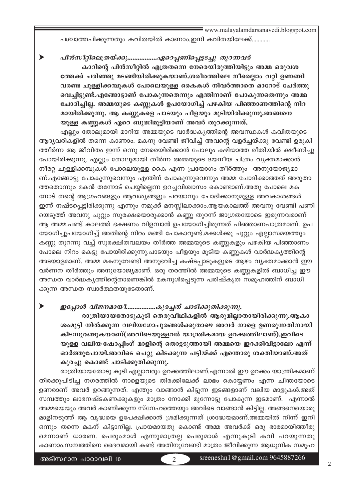പശ്ചാത്തപിക്കുന്നതും കവിതയിൽ കാണാം.ഇനി കവിതയിലേക്ക്............

പിൻസീറ്റിലെത്രയ്ക്കു..................ഏറെപ്പണിപ്പെട്ടടച്ചു തുറന്നവർ കാറിന്റെ പിൻസീറ്റിൽ എത്രതന്നെ നേരെയിരുത്തിയിട്ടും അമ്മ ഒരുവശ ത്തേക്ക് ചരിഞ്ഞു മടങ്ങിയിരിക്കുകയാണ്.ശരീരത്തിലെ നീരെല്ലാം വറ്റി ഉണങ്ങി വരണ്ട ചുള്ളിക്കമ്പുകൾ പോലെയുള്ള കൈകൾ നിവർത്താതെ മാറോട് ചേർത്തു വെച്ചിട്ടുണ്ട്.എങ്ങോട്ടാണ് പോകുന്നതെന്നും എന്തിനാണ് പോകുന്നതെന്നും അമ്മ ചോദിച്ചില്ല. അമ്മയുടെ കണ്ണുകൾ ഉപയോഗിച്ച് പഴകിയ പിഞ്ഞാണത്തിന്റെ നിറ മായിരിക്കുന്നു. ആ കണ്ണുകളെ പാടയും പീളയും മൂടിയിരിക്കുന്നു.അങ്ങനെ യുള്ള കണ്ണുകൾ ഏറെ ബുദ്ധിമുട്ടിയാണ് അവർ തുറക്കുന്നത്.

എല്ലും തോലുമായി മാറിയ അമ്മയുടെ വാർദ്ധകൃത്തിന്റെ അവസ്ഥകൾ കവിതയുടെ ആദ്യവരികളിൽ തന്നെ കാണാം. മകനു വേണ്ടി ജീവിച്ച് അവന്റെ വളർച്ചയ്ക്കു വേണ്ടി ഉരുകി ത്തീർന്ന ആ ജീവിതം ഇന്ന് ഒന്നു നേരെയിരിക്കാൻ പോലും കഴിയാത്ത രീതിയിൽ ക്ഷീണിച്ചു പോയിരിക്കുന്നു. എല്ലും തോലുമായി തീർന്ന അമ്മയുടെ ദയനീയ ചിത്രം വ്യക്തമാക്കാൻ നീരറ്റ ചുള്ളിക്കമ്പുകൾ പോലെയുള്ള കൈ എന്ന പ്രയോഗം തീർത്തും അനുയോജ്യമാ ണ്.എങ്ങോട്ടു പോകുന്നുവെന്നും എന്തിന് പോകുന്നുവെന്നും അമ്മ ചോദിക്കാത്തത് അരുതാ ത്തതൊന്നും മകൻ തന്നോട് ചെയ്യില്ലെന്ന ഉറച്ചവിശ്വാസം കൊണ്ടാണ്.അതു പോലെ മക നോട് തന്റെ ആഗ്രഹങ്ങളും ആവശ്യങ്ങളും പറയാനും ചോദിക്കാനുമുള്ള അവകാശങ്ങൾ ഇന്ന് നഷ്ടപ്പെട്ടിരിക്കുന്നു എന്നും നമുക്ക് മനസ്സിലാക്കാം.ആയകാലത്ത് അവനു വേണ്ടി പണി യെടുത്ത് അവനു ചുറ്റും സുരക്ഷയൊരുക്കാൻ കണ്ണു തുറന്ന് ജാഗ്രതയോടെ ഇരുന്നവരാണ് ആ അമ്മ.പണ്ട് കാലത്ത് ഭക്ഷണം വിളമ്പാൻ ഉപയോഗിച്ചിരുന്നത് പിഞ്ഞാണപാത്രമാണ്. ഉപ യോഗിച്ചുപയോഗിച്ച് അതിന്റെ നിറം മങ്ങി പോകാറുണ്ട്.മക്കൾക്കു ചുറ്റും എല്ലാസമയത്തും കണ്ണു തുറന്നു വച്ച് സുരക്ഷിതവലയം തീർത്ത അമ്മയുടെ കണ്ണുകളും പഴകിയ പിഞ്ഞാണം പോലെ നിറം കെട്ടു പോയിരിക്കുന്നു.പാടയും പീളയും മൂടിയ കണ്ണുകൾ വാർദ്ധകൃത്തിന്റെ അടയാളമാണ്. അമ്മ മകനുവേണ്ടി അനുഭവിച്ച കഷ്ടപ്പാടുകളുടെ ആഴം വ്യക്തമാക്കാൻ ഈ വർണന തീർത്തും അനുയോജ്യമാണ്. ഒരു തരത്തിൽ അമ്മയുടെ കണ്ണുകളിൽ ബാധിച്ച ഈ അന്ധത വാർദ്ധകൃത്തിന്റെതാണെങ്കിൽ മകനുൾപ്പെടുന്ന പരിഷ്കൃത സമൂഹത്തിന് ബാധി ക്കുന്ന അന്ധത സ്വാർത്ഥതയുടേതാണ്.

 $\blacktriangleright$ ഇപ്പോൾ വിജനമായി.................കുരച്ചത് ചാടിക്കുതിക്കുന്നു.

> രാത്രിയായതോടുകൂടി തെരുവീഥികളിൽ ആരുമില്ലാതായിരിക്കുന്നു.ആകാ ശംമുട്ടി നിൽക്കുന്ന വലിയഗോപുരങ്ങൾക്കുതാഴെ അവർ നാളെ ഉണരുന്നതിനായി കിടന്നുറങ്ങുകയാണ്(അവിടെയുള്ളവർ യാന്ത്രികമായ ഉറക്കത്തിലാണ്),ഇവിടെ യുള്ള വലിയ ഷോപ്പിംഗ് മാളിന്റെ തൊട്ടടുത്തായി അമ്മയെ ഇറക്കിവിട്ടാലോ എന്ന് ഓർത്തുപോയി.അവിടെ പെറ്റു കിടക്കുന്ന പട്ടിയ്ക്ക് എന്തൊരു ശക്തിയാണ്.അത് കുരച്ചു കൊണ്ട് ചാടിക്കുതിക്കുന്നു.

രാത്രിയായതോടു കൂടി എല്ലാവരും ഉറക്കത്തിലാണ്.എന്നാൽ ഈ ഉറക്കം യാന്ത്രികമാണ് തിരക്കുപിടിച്ച നഗരത്തിൽ നാളെയുടെ തിരക്കിലേക്ക് ലാഭം കൊയ്യണം എന്ന ചിന്തയോടെ ഉണരാണ് അവർ ഉറങ്ങുന്നത്. എന്തും വാങ്ങാൻ കിട്ടുന്ന ഇടങ്ങളാണ് വലിയ മാളുകൾ.അത് സമ്പത്തും ലാഭനഷ്ടകണക്കുകളും മാത്രം നോക്കി മുന്നോട്ടു പോകുന്ന ഇടമാണ്. എന്നാൽ അമ്മയെയും അവർ കാണിക്കുന്ന സ്നേഹത്തെയും അവിടെ വാങ്ങാൻ കിട്ടില്ല. അങ്ങനെയൊരു മാളിനടുത്ത് ആ വൃദ്ധയെ ഉപേക്ഷിക്കാൻ ശ്രമിക്കുന്നത് ശ്രദ്ധേയമാണ്.അമ്മയിൽ നിന്ന് ഇനി ഒന്നും തന്നെ മകന് കിട്ടാനില്ല. പ്രായമായതു കൊണ്ട് അമ്മ അവർക്ക് ഒരു ഭാരമായിത്തീരു മെന്നാണ് ധാരണ. പെരുംമാൾ എന്നുമാത്രല്ല പെരുമാൾ എന്നുകൂടി കവി പറയുന്നതു കാണാം.സമ്പത്തിനെ ദൈവമായി കണ്ട് അതിനുവേണ്ടി മാത്രം ജീവിക്കുന്ന ആധുനിക സമുഹ

sreeneshn1@gmail.com 9645887266

 $\blacktriangleright$ 

 $\mathfrak{D}$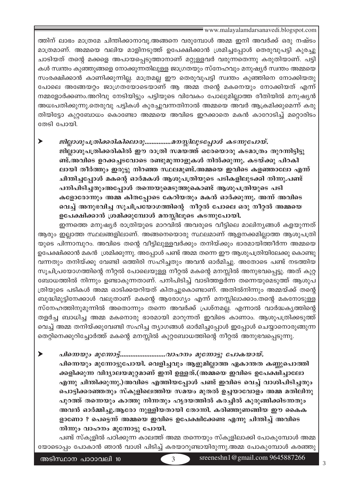ത്തിന് ലാഭം മാത്രമേ ചിന്തിക്കാനാവൂ.അങ്ങനെ വരുമ്പോൾ അമ്മ ഇനി അവർക്ക് ഒരു നഷ്ടം മാത്രമാണ്. അമ്മയെ വലിയ മാളിനടുത്ത് ഉപേക്ഷിക്കാൻ ശ്രമിച്ചപ്പോൾ തെരുവുപട്ടി കുരച്ചു ചാടിയത് തന്റെ മക്കളെ അപായപ്പെടുത്താനാണ് മറ്റുള്ളവർ വരുന്നതെന്നു കരുതിയാണ്. പട്ടി കൾ സ്ഥതം കുഞ്ഞുങ്ങളെ നോക്കുന്നതിലുള്ള ജാഗ്രതയും സ്നേഹവും മനുഷ്യർ സ്ഥതം അമ്മയെ സംരക്ഷിക്കാൻ കാണിക്കുന്നില്ല. മാത്രമല്ല ഈ തെരുവുപട്ടി സ്വന്തം കുഞ്ഞിനെ നോക്കിയതു പോലെ അങ്ങേയറ്റം ജാഗ്രതയോടെയാണ് ആ അമ്മ തന്റെ മകനെയും നോക്കിയത് എന്ന് നമ്മളോർക്കണം.അറിവു നേടിയിട്ടും പട്ടിയുടെ വിവേകം പോലുമില്ലാത്ത രീതിയിൽ മനുഷ്യൻ അധഃപതിക്കുന്നു.തെരുവു പട്ടികൾ കുരച്ചുവന്നതിനാൽ അമ്മയെ അവർ ആക്രമിക്കുമെന്ന് കരു തിയിട്ടോ കുറ്റബോധം കൊണ്ടോ അമ്മയെ അവിടെ ഇറക്കാതെ മകൻ കാറോടിച്ച് മറ്റൊരിടം തേടി പോയി.

ജില്ലാശുപത്രിക്കരികിലൊരു.................മനസ്സിലൂടപ്പോൾ കടന്നുപോയ്. ജില്ലാശുപത്രിക്കരികിൽ ഈ രാത്രി സമയത്ത് ഒരേയൊരു കടമാത്രം തുറന്നിട്ടിട്ടു ണ്ട്.അവിടെ ഉറക്കച്ചടവോടെ രണ്ടുമുന്നാളുകൾ നിൽക്കുന്നു. കടയ്ക്കു പിറകി ലായി തീർത്തും ഇരുട്ടു നിറഞ്ഞ സ്ഥലമുണ്ട്.അമ്മയെ ഇവിടെ കളഞ്ഞാലോ എന്ന് ചിന്തിച്ചപ്പോൾ മകന്റെ ഓർമകൾ ആശുപത്രിയുടെ പടികളിലുടക്കി നിന്നു.പണ്ട് പനിപിടിച്ചതുംഅപ്പോൾ തന്നെയുമെടുത്തുകൊണ്ട് ആശുപത്രിയുടെ പടി കളോരോന്നും അമ്മ കിതപ്പോടെ കേറിയതും മകൻ ഓർക്കുന്നു. അന്ന് അവിടെ വെച്ച് അനുഭവിച്ച സൂചിപ്രയോഗത്തിന്റെ നീറ്റൽ പോലെ ഒരു നീറ്റൽ അമ്മയെ ഉപേക്ഷിക്കാൻ ശ്രമിക്കുമ്പോൾ മനസ്സിലൂടെ കടന്നുപോയി.

ഇന്നത്തെ മനുഷ്യർ രാത്രിയുടെ മാറവിൽ അവരുടെ വീട്ടിലെ മാലിന്യങ്ങൾ കളയുന്നത് ആരും ഇല്ലാത്ത സ്ഥലങ്ങളിലാണ്. അങ്ങനെയൊരു സ്ഥലമാണ് ആളനക്കമില്ലാത്ത ആശുപത്രി യുടെ പിന്നാമ്പുറം. അവിടെ തന്റെ വീട്ടിലുള്ളവർക്കും തനിയ്ക്കും ഭാരമായിത്തീർന്ന അമ്മയെ ഉപേക്ഷിക്കാൻ മകൻ ശ്രമിക്കുന്നു. അപ്പോൾ പണ്ട് അമ്മ തന്നെ ഈ ആശുപത്രിയിലേക്കു കൊണ്ടു വന്നതും തനിയ്ക്കു വേണ്ടി ഒത്തിരി സഹിച്ചതും അവൻ ഓർമിച്ചു. അതോടെ പണ്ട് നടത്തിയ സൂചിപ്രയോഗത്തിന്റെ നീറ്റൽ പോലെയുള്ള നീറ്റൽ മകന്റെ മനസ്സിൽ അനുഭവപ്പെട്ടു. അത് കുറ്റ ബോധത്തിൽ നിന്നും ഉണ്ടാകുന്നതാണ്. പനിപിടിച്ച് വാടിത്തളർന്ന തന്നെയുമെടുത്ത് ആശുപ ത്രിയുടെ പടികൾ അമ്മ ഓടിക്കയറിയത് കിതച്ചുകൊണ്ടാണ്. അതിൽനിന്നും അമ്മയ്ക്ക് തന്റെ ബുദ്ധിമുട്ടിനേക്കാൾ വലുതാണ് മകന്റെ ആരോഗ്യം എന്ന് മനസ്സിലാക്കാം.തന്റെ മകനോടുള്ള സ്നേഹത്തിനുമുന്നിൽ അതൊന്നും തന്നെ അവർക്ക് പ്രശ്നമല്ല. എന്നാൽ വാർദ്ധകൃത്തിന്റെ തളർച്ച ബാധിച്ച അമ്മ മകനൊരു ഭാരമായി മാറുന്നത് ഇവിടെ കാണാം. ആശുപത്രിക്കടുത്ത് വെച്ച് അമ്മ തനിയ്ക്കുവേണ്ടി സഹിച്ച ത്യാഗങ്ങൾ ഓർമിച്ചപ്പോൾ ഇപ്പോൾ ചെയ്യാനൊരുങ്ങുന്ന തെറ്റിനെക്കുറിച്ചോർത്ത് മകന്റെ മനസ്സിൽ കുറ്റബോധത്തിന്റെ നീറ്റൽ അനുഭവപ്പെടുന്നു.

പിന്നെയും മുന്നോട്ടുപോയി. വെളിച്ചവും ആളുമില്ലാത്ത ഏകാന്തത കണ്ണുപൊത്തി ക്കളിക്കുന്ന വിദ്യാലയമുറ്റമാണ് ഇനി ഉള്ളത്.(അമ്മയെ ഇവിടെ ഉപേക്ഷിച്ചാലോ എന്നു ചിന്തിക്കുന്നു.)അവിടെ എത്തിയപ്പോൾ പണ്ട് ഇവിടെ വെച്ച് വാശിപിടിച്ചതും പൊട്ടിക്കരഞ്ഞതും സ്കുളിലെത്തിയ സമയം മുതൽ ഉച്ചയാവോളം അമ്മ മതിലിനു പുറത്ത് തന്നെയും കാത്തു നിന്നതും ഹൃദയത്തിൽ കരച്ചിൽ കുരുങ്ങിക്കിടന്നതും അവൻ ഓർമ്മിച്ചു.ആരോ നുള്ളിയതായി തോന്നി. കരിഞ്ഞുണങ്ങിയ ഈ കൈക ളാണോ ? പെട്ടെന്ന് അമ്മയെ ഇവിടെ ഉപേക്ഷിക്കേണ്ട എന്നു ചിന്തിച്ച് അവിടെ നിന്നും വാഹനം മുന്നോട്ടു പോയി.

പണ്ട് സ്കൂളിൽ പഠിക്കുന്ന കാലത്ത് അമ്മ തന്നെയും സ്കൂളിലാക്കി പോകുമ്പോൾ അമ്മ യോടൊപ്പം പോകാൻ ഞാൻ വാശി പിടിച്ച് കരയാറുണ്ടായിരുന്നു.അമ്മ പോകുമ്പോൾ കരഞ്ഞു

 $\mathcal{R}$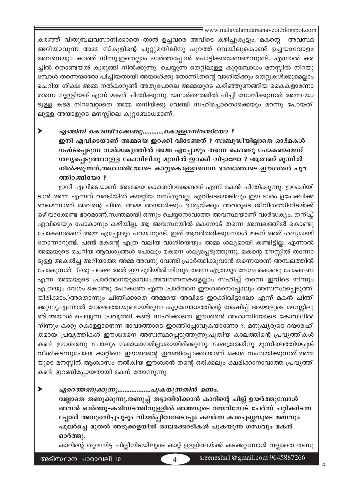കരഞ്ഞ് വിതുമ്പലവസാനിക്കാതെ താൻ ഉച്ചവരെ അവിടെ കഴിച്ചുകൂട്ടും. മകന്റെ അവസ്ഥ അറിയാവുന്ന അമ്മ സ്കൂളിന്റെ ചുറ്റുമതിലിനു പുറത്ത് വെയിലുകൊണ്ട് ഉച്ചയാവോളം അവനെയും കാത്ത് നിന്നു.ഇതെല്ലാം ഓർത്തപ്പോൾ പൊട്ടിക്കരയണമെന്നുണ്ട്. എന്നാൽ കര ച്ചിൽ തൊണ്ടയൽ കുരുങ്ങി നിൽക്കുന്നു. ചെയ്യുന്ന തെറ്റിലുള്ള കുറ്റബോധം മനസ്സിൽ നിറയു മ്പോൾ തന്നെയാരോ പിച്ചിയതായി അയാൾക്കു തോന്നി.തന്റെ വാശിയ്ക്കും തെറ്റുകൾക്കുമെല്ലാം ചെറിയ ശിക്ഷ അമ്മ നൽകാറുണ്ട് അതുപോലെ അമ്മയുടെ കരിഞ്ഞുണങ്ങിയ കൈകളാണോ തന്നെ നുള്ളിയത് എന്ന് മകൻ ചിന്തിക്കുന്നു. യഥാർത്ഥത്തിൽ പിച്ചി നോവിക്കുന്നത് അമ്മയോ ടുള്ള കടമ നിറവേറ്റാതെ അമ്മ തനിയ്ക്കു വേണ്ടി സഹിച്ചൊതൊക്കെയും മറന്നു പോയതി ലുള്ള അയാളുടെ മനസ്സിലെ കുറ്റബോധമാണ്.

#### ➤ എങ്ങിനി കൊണ്ടിറക്കേണ്ടു…………കൊള്ളാനിറങ്ങിയോ ?

ഇനി എവിടെയാണ് അമ്മയെ ഇറക്കി വിടേണ്ടത് ? സ്വബുദ്ധിയില്ലാതെ ഓർമകൾ നഷ്ടപ്പെടുന്ന വാർദ്ധകൃത്തിൽ അമ്മ എപ്പോഴും തന്നെ കൊണ്ടു പോകണമെന്ന് ശല്യപ്പെടുത്താറുള്ള കോവിലിനു മുമ്പിൽ ഇറക്കി വിട്ടാലോ ? ആരാണ് മുന്നിൽ നിൽക്കുന്നത്.അശാന്തിയോടെ കാറ്റുകൊള്ളാനെന്ന ഭാവത്തോടെ ഈശ്വരൻ പുറ ത്തിറങ്ങിയോ?

ഇനി എവിടെയാണ് അമ്മയെ കൊണ്ടിറക്കേണ്ടത് എന്ന് മകൻ ചിന്തിക്കുന്നു. ഇറക്കിയി ടാൻ അമ്മ എന്നത് വണ്ടിയിൽ കയറ്റിയ വസ്തുവല്ല. എവിടെയെങ്കിലും ഈ ഭാരം ഉപേക്ഷിക്ക ണമെന്നാണ് അവന്റെ ചിന്ത. അമ്മ അയാൾക്കും ഭാര്യയ്ക്കും അവരുടെ ജീവിതത്തിനിടയ്ക്ക് ഒഴിവാക്കേണ്ട ഭാരമാണ്.സ്വന്തമായി ഒന്നും ചെയ്യാനാവാത്ത അവസ്ഥയാണ് വാർദ്ധക്യം. തനിച്ച് എവിടെയും പോകാനും കഴിയില്ല. ആ അവസ്ഥയിൽ മകനോട് തന്നെ അമ്പലത്തിൽ കൊണ്ടു പോകണമെന്ന് അമ്മ എപ്പോഴും പറയാറുണ്ട്. ഇത് ആവർത്തിക്കുമ്പോൾ മകന് അത് ശല്യമായി തോന്നാറുണ്ട്. പണ്ട് മകന്റെ എത്ര വലിയ വാശിയെയും അമ്മ ശല്യമായി കണ്ടിട്ടില്ല. എന്നാൽ അമ്മയുടെ ചെറിയ ആവശ്യങ്ങൾ പോലും മകനെ ശല്യപ്പെടുത്തുന്നു. മകന്റെ മനസ്സിൽ തന്നോ ടുള്ള അകൽച്ച അറിയാത്ത അമ്മ അവനു വേണ്ടി പ്രാർത്ഥിക്കുവാൻ തന്നെയാണ് അമ്പലത്തിൽ പോകുന്നത്. (ഒരു പക്ഷേ അത് ഈ ഭൂമിയിൽ നിന്നും തന്നെ എത്രയും വേഗം കൊണ്ടു പോകണേ എന്ന അമ്മയുടെ പ്രാർത്ഥനയുമാവാം.അവഗണനകളെല്ലാം സഹിച്ച് തന്നെ ഇവിടെ നിന്നും എത്രയും വേഗം കൊണ്ടു പോകണേ എന്ന പ്രാർത്ഥന ഈശ്വരനെപ്പോലും അസ്വസ്ഥപ്പെടുത്തി യിരിക്കാം.)അതൊന്നും ചിന്തിക്കാതെ അമ്മയെ അവിടെ ഇറക്കിവിട്ടാലോ എന്ന് മകൻ ചിന്തി ക്കുന്നു.എന്നാൽ നേരെത്തെയുണ്ടായിരുന്ന കുറ്റബോധത്തിന്റെ ശേഷിപ്പ് അയാളുടെ മനസ്സിലു ണ്ട്.അയാൾ ചെയ്യുന്ന പ്രവൃത്തി കണ്ട് സഹിക്കാതെ ഈശ്വരൻ അശാന്തിയോടെ കോവിലിൽ നിന്നും കാറ്റു കൊള്ളാനെന്ന ഭാവത്തോടെ ഇറങ്ങിപ്പോവുകയാണോ ?. മനുഷ്യരുടെ ദയാരഹി തമായ പ്രവൃത്തികൾ ഈശ്വരനെ അസ്വസ്ഥപ്പെടുത്തുന്നു.പുതിയ കാലത്തിന്റെ പ്രവൃത്തികൾ കണ്ട് ഈശ്വരനു പോലും സമാധാനമില്ലാതായിരിക്കുന്നു. ക്ഷേത്രത്തിനു മുന്നിലെത്തിയപ്പൾ വീശികടന്നുപോയ കാറ്റിനെ ഈശ്വരന്റെ ഇറങ്ങിപ്പോക്കായാണ് മകൻ സംശയിക്കുന്നത്.അമ്മ യുടെ മനസ്സിന് ആശ്വാസം നൽകിയ ഈശ്വരൻ തന്റെ ഒരിക്കലും ക്ഷമിക്കാനാവാത്ത പ്രവൃത്തി കണ്ട് ഇറങ്ങിപ്പോയതായി മകന് തോന്നുന്നു.

▶ 

വല്ലാതെ തണുക്കുന്നു.തണുപ്പ് തട്ടാതിരിക്കാൻ കാറിന്റെ ചില്ല് ഉയർത്തുമ്പോൾ അവൻ ഓർത്തു-കരിമ്പടത്തിനുള്ളിൽ അമ്മയുടെ വയറിനോട് ചേർന്ന് പറ്റിക്കിടന്ന പ്പോൾ അനുഭവിച്ചചൂടും വിയർപ്പിനോടൊപ്പം കലർന്ന കാച്ചെണ്ണയുടെ മണവും പുലർച്ചെ മുതൽ അടുക്കളയിൽ ഓലക്കൊടികൾ പുകയുന്ന ഗന്ധവും മകൻ ഓർത്തു.

കാറിന്റെ തുറന്നിട്ട ചില്ലിനിടയിലൂടെ കാറ്റ് ഉള്ളിലേയ്ക്ക് കടക്കുമ്പോൾ വല്ലാതെ തണു

അടിസ്ഥാന പാഠാവലി 10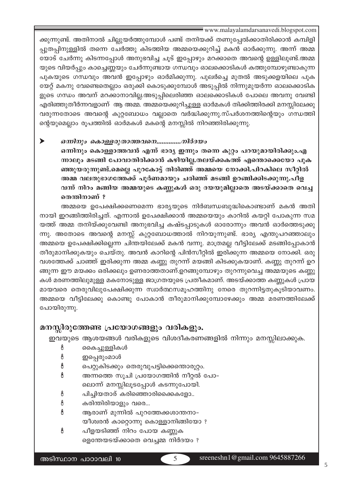ക്കുന്നുണ്ട്. അതിനാൽ ചില്ലുയർത്തുമ്പോൾ പണ്ട് തനിയക്ക് തണുപ്പേൽക്കാതിരിക്കാൻ കമ്പിളി പ്പുതപ്പിനുള്ളിൽ തന്നെ ചേർത്തു കിടത്തിയ അമ്മയെക്കുറിച്ച് മകൻ ഓർക്കുന്നു. അന്ന് അമ്മ യോട് ചേർന്നു കിടന്നപ്പോൾ അനുഭവിച്ച ചൂട് ഇപ്പോഴും മറക്കാതെ അവന്റെ ഉള്ളിലുണ്ട്.അമ്മ യുടെ വിയർപ്പും കാച്ചെണ്ണയും ചേർന്നുണ്ടായ ഗന്ധവും ഓലക്കൊടികൾ കത്തുമ്പോഴുണ്ടാകുന്ന പുകയുടെ ഗന്ധവും അവൻ ഇപ്പോഴും ഓർമിക്കുന്നു. പുലർച്ചെ മുതൽ അടുക്കളയിലെ പുക യേറ്റ് മകനു വേണ്ടെതെല്ലാം ഒരുക്കി കൊടുക്കുമ്പോൾ അടുപ്പിൽ നിന്നുമുയർന്ന ഓലക്കൊടിക ളുടെ ഗന്ധം അവന് മറക്കാനാവില്ല.അടുപ്പിലെരിഞ്ഞ ഓലക്കൊടികൾ പോലെ അവനു വേണ്ടി എരിഞ്ഞുതീർന്നവളാണ് ആ അമ്മ. അമ്മയെക്കുറിച്ചുള്ള ഓർമകൾ തിക്കിത്തിരക്കി മനസ്സിലേക്കു വരുന്നതോടെ അവന്റെ കുറ്റബോധം വല്ലാതെ വർദ്ധിക്കുന്നു.സ്പർശനത്തിന്റെയും ഗന്ധത്തി ന്റെയുമെല്ലാം രൂപത്തിൽ ഓർമകൾ മകന്റെ മനസ്സിൽ നിറഞ്ഞിരിക്കുന്നു.

### Ü *H∂n\pw sIm≈-cp-Xm-Ø-hs\..............-\n¿Zbw*

ഒന്നിനും കൊള്ളാത്തവൻ എന്ന് ഭാര്യ ഇന്നും തന്നെ കുറ്റം പറയുമായിരിക്കും.എ ണാലും മടങ്ങി പോവാതിരിക്കാൻ കഴിയില്ല.തലയ്ക്കകത്ത് എന്തൊക്കെയോ പുക ഞ്ഞുയരുന്നുണ്ട്.മെല്ലെ പുറകോട്ട് തിരിഞ്ഞ് അമ്മയെ നോക്കി.പിറകിലെ സീറ്റിൽ അമ്മ വലതുഭാഗത്തേക്ക് പുർണമായും ചരിഞ്ഞ് മടങ്ങി ഉറങ്ങിക്കിടക്കുന്നു.പീള വന്ന് നിറം മങ്ങിയ അമ്മയുടെ കണ്ണുകൾ ഒരു ദയയുമില്ലാതെ അടയ്ക്കാതെ വെച്ച **തെന്തിനാണ്** ?

അമ്മയെ ഉപേക്ഷിക്കണെമെന്ന ഭാര്യയുടെ നിർബന്ധബുദ്ധികൊണ്ടാണ് മകൻ അതി നായി ഇറങ്ങിത്തിരിച്ചത്. എന്നാൽ ഉപേക്ഷിക്കാൻ അമ്മയെയും കാറിൽ കയറ്റി പോകുന്ന സമ യത്ത് അമ്മ തനിയ്ക്കുവേണ്ടി അനുഭവിച്ച കഷ്ടപ്പാടുകൾ ഓരോന്നും അവൻ ഓർത്തെടുക്കു ന്നു. അതോടെ അവന്റെ മനസ്സ് കുറ്റബോധത്താൽ നിറയുന്നുണ്ട്. ഭാര്യ എന്തുപറഞ്ഞാലും അമ്മയെ ഉപേക്ഷിക്കില്ലെന്ന ചിന്തയിലേക്ക് മകൻ വന്നു. മാത്രമല്ല വീട്ടിലേക്ക് മടങ്ങിപ്പോകാൻ തീരുമാനിക്കുകയും ചെയ്തു. അവൻ കാറിന്റെ പിൻസീറ്റിൽ ഇരിക്കുന്ന അമ്മയെ നോക്കി. ഒരു വശത്തേക്ക് ചാഞ്ഞ് ഇരിക്കുന്ന അമ്മ കണ്ണു തുറന്ന് മയങ്ങി കിടക്കുകയാണ്. കണ്ണു തുറന്ന് ഉറ ങ്ങുന്ന ഈ മയക്കം ഒരിക്കലും ഉണരാത്തതാണ്.ഉറങ്ങുമ്പോഴും തുറന്നുവെച്ച അമ്മയുടെ കണ്ണു കൾ മരണത്തിലുമുള്ള മകനോടുള്ള ജാഗ്രതയുടെ പ്രതീകമാണ്. അടയ്ക്കാത്ത കണ്ണുകൾ പ്രായ മായവരെ തെരുവിലുപേക്ഷിക്കുന്ന സ്വാർത്ഥസമൂഹത്തിനു നേരെ തുറന്നിട്ടതുകൂടിയാവണം. അമ്മയെ വീട്ടിലേക്കു കൊണ്ടു പോകാൻ തീരുമാനിക്കുമ്പോഴേക്കും അമ്മ മരണത്തിലേക്ക് പോയിരുന്നു.

### മനസ്സിരുത്തേണ്ട പ്രയോഗങ്ങളും വരികളും.

ഇവയുടെ ആശയങ്ങൾ വരികളുടെ വിശദീകരണങ്ങളിൽ നിന്നും മനസ്സിലാക്കുക.

- <u>8</u> കൈച്ചുള്ളികൾ
- ∄ ഇപ്പെരുംമാൾ
- ് കപറ്റുകിടക്കും തെരുവുപട്ടിക്കെത്താരൂറ്റം.
- ಕಿ അന്നത്തെ സൂചി പ്രയോഗത്തിൻ നീറ്റൽ പോ– ്കലാന്ന് മനസ്സിലൂടപ്പോൾ കടന്നുപോയി.
- $\delta$  പിച്ചിയതാര് കരിഞ്ഞൊരിക്കൈളോ..
- $\delta$  കരിന്തിരിയാളും വരെ...
- 8 ആരാണ് മുന്നിൽ പുറത്തേക്കശാന്തനാ−  $\infty$ ീശ്വരൻ കാറ്റൊന്നു കൊള്ളാനിങ്ങിയോ ?
- $\delta$  പീളയടിഞ്ഞ് നിറം പോയ കണ്ണുക ളെന്തേയടയ്ക്കാതെ വെച്ചമ്മ നിർദയം ?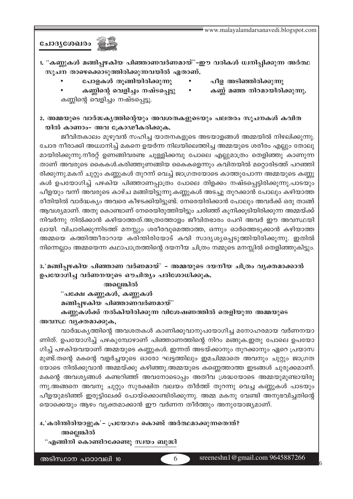ചോദ്യശേഖരം <u>ഇക്</u>

1. "കണ്ണുകൾ മങ്ങിപ്പഴകിയ പിഞ്ഞാണവർണമായ്"-ഈ വരികൾ ധ്വനിപ്പിക്കുന്ന അർത്ഥ സൂചന താഴെക്കൊടുത്തിരിക്കുന്നവയിൽ ഏതാണ്.

- പോളകൾ തുങ്ങിയിരിക്കുന്നു
- പീള അടിഞ്ഞിരിക്കുന്നു
- പീള അടിഞ്ഞിരിക്കുന്നു<br>• കണ്ണ് മഞ്ഞ നിറമായിരിക്കുന്നു.
- കണ്ണിന്റെ വെളിച്ചം നഷ്ടപ്പെട്ടു കണ്ണിന്റെ വെളിച്ചം നഷ്ടപ്പെട്ടു.

2. അമ്മയുടെ വാർദ്ധകൃത്തിന്റെയും അവശതകളുടെയും പലതരം സൂചനകൾ കവിത യിൽ കാണാം- അവ ക്രോഢീകരിക്കുക.

ജീവിതകാലം മുഴുവൻ സഹിച്ച യാതനകളുടെ അടയാളങ്ങൾ അമ്മയിൽ നിഴലിക്കുന്നു. ചോര നീരാക്കി അധ്വാനിച്ച് മകനെ ഉയർന്ന നിലയിലെത്തിച്ച അമ്മയുടെ ശരീരം എല്ലും തോലു മായിരിക്കുന്നു.നീരറ്റ് ഉണങ്ങിവരണ്ട ചുള്ളിക്കമ്പു പോലെ എല്ലുമാത്രം തെളിഞ്ഞു കാണുന്ന താണ് അവരുടെ കൈകൾ.കരിഞ്ഞുണങ്ങിയ കൈകളെന്നും കവിതയിൽ മറ്റൊരിടത്ത് പറഞ്ഞി രിക്കുന്നു.മകന് ചുറ്റും കണ്ണുകൾ തുറന്ന് വെച്ച് ജാഗ്രതയോടെ കാത്തുപോന്ന അമ്മയുടെ കണ്ണു കൾ ഉപയോഗിച്ച് പഴകിയ പിഞ്ഞാണപ്പാത്രം പോലെ തിളക്കം നഷ്ടപ്പെട്ടിരിക്കുന്നു.പാടയും പീളയും വന്ന് അവരുടെ കാഴ്ച മങ്ങിയിട്ടുന്നു.കണ്ണുകൾ അടച്ചു തുറക്കാൻ പോലും കഴിയാത്ത രീതിയിൽ വാർദ്ധക്യം അവരെ കീഴടക്കിയിട്ടുണ്ട്. നേരെയിരിക്കാൻ പോലും അവർക്ക് ഒരു താങ്ങ് ആവശ്യമാണ്. അതു കൊണ്ടാണ് നേരെയിരുത്തിയിട്ടും ചരിഞ്ഞ് കുനിക്കുടിയിരിക്കുന്ന അമ്മയ്ക്ക് നിവർന്നു നിൽക്കാൻ കഴിയാത്തത്.അത്രത്തോളം ജീവിതഭാരം പേറി അവർ ഈ അവസ്ഥയി ലായി. വിചാരിക്കുന്നിടത്ത് മനസ്സും ശരീരവുമെത്താത്ത, ഒന്നും ഓർത്തെടുക്കാൻ കഴിയാത്ത അമ്മയെ കത്തിത്തീരാറായ കരിന്തിരിയോട് കവി സാദൃശ്യപ്പെടുത്തിയിരിക്കുന്നു. ഇതിൽ നിന്നെല്ലാം അമ്മയെന്ന കഥാപാത്രത്തിന്റെ ദയനീയ ചിത്രം നമ്മുടെ മനസ്സിൽ തെളിഞ്ഞുകിട്ടും.

# 3.'മങ്ങിപ്പഴകിയ പിഞ്ഞാണ വർണമായ്' – അമ്മയുടെ ദയനീയ ചിത്രം വൃക്തമാക്കാൻ ഉപയോഗിച്ച വർണനയുടെ ഔചിത്യം പരിശോധിക്കുക.

അല്ലെങ്കിൽ

"പക്ഷേ കണ്ണുകൾ, കണ്ണുകൾ മങ്ങിപ്പഴകിയ പിഞ്ഞാണവർണമായ്" കണ്ണുകൾക്ക് നൽകിയിരിക്കുന്ന വിശേഷണത്തിൽ തെളിയുന്ന അമ്മയുടെ

അവസ്ഥ വൃക്തമാക്കുക,

വാർദ്ധകൃത്തിന്റെ അവശതകൾ കാണിക്കുവാനുപയോഗിച്ച മനോഹരമായ വർണനയാ ണിത്. ഉപയോഗിച്ച് പഴകുമ്പോഴാണ് പിഞ്ഞാണത്തിന്റെ നിറം മങ്ങുക.ഇതു പോലെ ഉപയോ ഗിച്ച് പഴകിയവയാണ് അമ്മയുടെ കണ്ണുകൾ. ഇന്നത് അടയ്ക്കാനും തുറക്കാനും ഏറെ പ്രയാസ മുണ്ട്.തന്റെ മകന്റെ വളർച്ചയുടെ ഓരോ ഘട്ടത്തിലും ഇമചിമ്മാതെ അവനും ചുറ്റും ജാഗ്രത യോടെ നിൽക്കുവാൻ അമ്മയ്ക്കു കഴിഞ്ഞു.അമ്മയുടെ കണ്ണെത്താത്ത ഇടങ്ങൾ ചുരുക്കമാണ്. മകന്റെ അവശ്യങ്ങൾ കണ്ടറിഞ്ഞ് അവനോടൊപ്പം അതീവ ശ്രദ്ധയോടെ അമ്മയുമുണ്ടായിരു ന്നു.അങ്ങനെ അവനു ചുറ്റും സുരക്ഷിത വലയം തീർത്ത് തുറന്നു വെച്ച കണ്ണുകൾ പാടയും പീളയുമടിഞ്ഞ് ഇരുട്ടിലേക്ക് പോയ്ക്കൊണ്ടിരിക്കുന്നു. അമ്മ മകനു വേണ്ടി അനുഭവിച്ചതിന്റെ യൊക്കെയും ആഴം വ്യക്തമാക്കാൻ ഈ വർണന തീർത്തും അനുയോജ്യമാണ്.

4. കരിന്തിരിയാളുക' – പ്രയോഗം കൊണ്ട് അർത്ഥമാക്കുന്നതെന്ത്? അല്ലെങ്കിൽ

"എങ്ങിനി കൊണ്ടിറക്കേണ്ടു സ്വയം ബുദ്ധി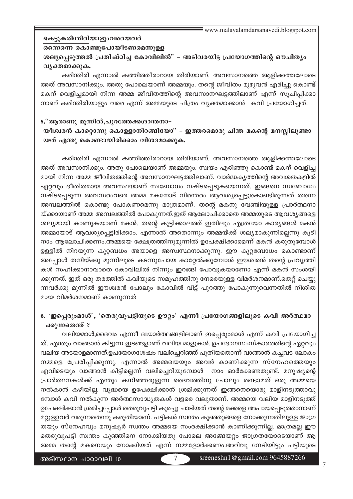# കെട്ടുകരിന്തിരിയാളുംവരെയവർ

#### ഒന്നെന്നെ കൊണ്ടുപോയീടണമെന്നുള്ള

ശല്യപ്പെടുത്തൽ പ്രതിഷ്ഠിച്ച കോവിലിൽ" – അടിവരയിട്ട പ്രയോഗത്തിന്റെ ഔചിത്യം വൃക്തമാക്കുക.

കരിന്തിരി എന്നാൽ കത്തിത്തീരാറായ തിരിയാണ്. അവസാനത്തെ ആളിക്കത്തലോടെ അത് അവസാനിക്കും. അതു പോലെയാണ് അമ്മയും. തന്റെ ജീവിതം മുഴുവൻ എരിച്ചു കൊണ്ട് മകന് വെളിച്ചമായി നിന്ന അമ്മ ജീവിതത്തിന്റെ അവസാനഘട്ടത്തിലാണ് എന്ന് സൂചിപ്പിക്കാ നാണ് കരിന്തിരിയാളും വരെ എന്ന് അമ്മയുടെ ചിത്രം വ്യക്തമാക്കാൻ കവി പ്രയോഗിച്ചത്.

# 5."ആരാണു മുന്നിൽ,പുറത്തേക്കശാന്തനാ– യീശ്വരൻ കാറ്റൊന്നു കൊള്ളാനിറങ്ങിയോ" – ഇത്തരമൊരു ചിന്ത മകന്റെ മനസ്സിലുണ്ടാ യത് എന്തു കൊണ്ടായിരിക്കാം വിശദമാക്കുക.

കരിന്തിരി എന്നാൽ കത്തിത്തീരാറായ തിരിയാണ്. അവസാനത്തെ ആളിക്കത്തലോടെ അത് അവസാനിക്കും. അതു പോലെയാണ് അമ്മയും. സ്വയം എരിഞ്ഞു കൊണ്ട് മകന് വെളിച്ച മായി നിന്ന അമ്മ ജീവിതത്തിന്റെ അവസാനഘട്ടത്തിലാണ്. വാർദ്ധകൃത്തിന്റെ അവശതകളിൽ ഏറ്റവും ഭീതിതമായ അവസ്ഥയാണ് സ്വബോധം നഷ്ടപ്പെടുകയെന്നത്. ഇങ്ങനെ സ്വബോധം നഷ്ടപ്പെടുന്ന അവസരംവരെ അമ്മ മകനോട് നിരന്തരം ആവശ്യപ്പെട്ടുകൊണ്ടിരുന്നത് തന്നെ അമ്പലത്തിൽ കൊണ്ടു പോകണമെന്നു മാത്രമാണ്. തന്റെ മകനു വേണ്ടിയുള്ള പ്രാർത്ഥനാ യ്ക്കായാണ് അമ്മ അമ്പലത്തിൽ പോകുന്നത്.ഇത് ആലോചിക്കാതെ അമ്മയുടെ ആവശ്യങ്ങളെ ശല്യമായി കാണുകയാണ് മകൻ. തന്റെ കുട്ടിക്കാലത്ത് ഇതിലും എത്രയോ കാര്യങ്ങൾ മകൻ അമ്മയോട് ആവശ്യപ്പെട്ടിരിക്കാം. എന്നാൽ അതൊന്നും അമ്മയ്ക്ക് ശല്യമാകുന്നില്ലെന്നു കൂടി നാം ആലോചിക്കണം.അമ്മയെ ക്ഷേത്രത്തിനുമുന്നിൽ ഉപേക്ഷിക്കാമെന്ന് മകൻ കരുതുമ്പോൾ ഉള്ളിൽ നിറയുന്ന കുറ്റബധം അയാളെ അസ്വസ്ഥനാക്കുന്നു. ഈ കുറ്റബോധം കൊണ്ടാണ് അപ്പോൾ തനിയ്ക്കു മുന്നിലൂടെ കടന്നുപോയ കാറ്റേൽക്കുമ്പോൾ ഈശ്വരൻ തന്റെ പ്രവൃത്തി കൾ സഹിക്കാനാവാതെ കോവിലിൽ നിന്നും ഇറങ്ങി പോവുകയാണോ എന്ന് മകൻ സംശയി ക്കുന്നത്. ഇത് ഒരു തരത്തിൽ കവിയുടെ സമൂഹത്തിനു നേരെയുള്ള വിമർശനമാണ്.തെറ്റ് ചെയ്യു ന്നവർക്കു മുന്നിൽ ഈശ്വരൻ പോലും കോവിൽ വിട്ട് പുറത്തു പോകുന്നുവെന്നതിൽ നിശിത മായ വിമർശനമാണ് കാണുന്നത്

# 6. 'ഇപ്പെരുംമാൾ', 'തെരുവുപട്ടിയുടെ ഊറ്റം' എന്നീ പ്രയോഗങ്ങളിലൂടെ കവി അർത്ഥമാ ക്കുന്നതെന്ത് ?

വലിയമാൾ,ദൈവം എന്നീ ദ്വയാർത്ഥങ്ങളിലാണ് ഇപ്പെരുംമാൾ എന്ന് കവി പ്രയോഗിച്ച ത്. എന്തും വാങ്ങാൻ കിട്ടുന്ന ഇടങ്ങളാണ് വലിയ മാളുകൾ. ഉപഭോഗസംസ്കാരത്തിന്റെ ഏറ്റവും വലിയ അടയാളമാണത്.ഉപയോഗശേഷം വലിച്ചെറിഞ്ഞ് പുതിയതൊന്ന് വാങ്ങാൻ കച്ചവട ലോകം നമ്മളെ പ്രേരിപ്പിക്കുന്നു. എന്നാൽ അമ്മയെയും അവർ കാണിക്കുന്ന സ്നേഹത്തെയും എവിടെയും വാങ്ങാൻ കിട്ടില്ലെന്ന് വലിച്ചെറിയുമ്പോൾ നാം ഓർക്കേണ്ടതുണ്ട്. മനുഷ്യന്റെ പ്രാർത്ഥനകൾക്ക് എന്തും കനിഞ്ഞരുളുന്ന ദൈവത്തിനു പോലും രണ്ടാമത് ഒരു അമ്മയെ നൽകാൻ കഴിയില്ല. വൃദ്ധയെ ഉപേക്ഷിക്കാൻ ശ്രമിക്കുന്നത് ഇങ്ങനെയൊരു മാളിനടുത്താവു മ്പോൾ കവി നൽകുന്ന അർത്ഥസാദ്ധ്യതകൾ വളരെ വലുതാണ്. അമ്മയെ വലിയ മാളിനടുത്ത് ഉപേക്ഷിക്കാൻ ശ്രമിച്ചപ്പോൾ തെരുവുപട്ടി കുരച്ചു ചാടിയത് തന്റെ മക്കളെ അപായപ്പെടുത്താനാണ് മറ്റുള്ളവർ വരുന്നതെന്നു കരുതിയാണ്. പട്ടികൾ സ്ഥതം കുഞ്ഞുങ്ങളെ നോക്കുന്നതിലുള്ള ജാഗ്ര തയും സ്നേഹവും മനുഷ്യർ സ്വന്തം അമ്മയെ സംരക്ഷിക്കാൻ കാണിക്കുന്നില്ല. മാത്രമല്ല ഈ തെരുവുപട്ടി സ്ഥതം കുഞ്ഞിനെ നോക്കിയതു പോലെ അങ്ങേയറ്റം ജാഗ്രതയോടെയാണ് ആ അമ്മ തന്റെ മകനെയും നോക്കിയത് എന്ന് നമ്മളോർക്കണം.അറിവു നേടിയിട്ടും പട്ടിയുടെ

അടിസ്ഥാന പാഠാവലി 10

 $\overline{7}$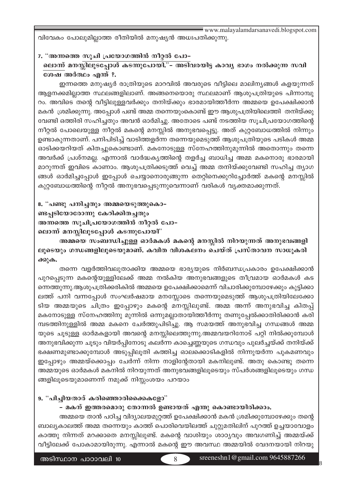www.malayalamdarsanavedi.blogspot.com വിവേകം പോലുമില്ലാത്ത രീതിയിൽ മനുഷ്യൻ അധഃപതിക്കുന്നു.

7. "അന്നത്തെ സുചി പ്രയോഗത്തിൻ നീറ്റൽ പോ–

ലൊന്ന് മനസ്സിലൂടപ്പോൾ കടന്നുപോയി."– അടിവരയിട്ട കാവ്യ ഭാഗം നൽക്കുന്ന സവി ശേഷ അർത്ഥം എന്ത് ?.

ഇന്നത്തെ മനുഷ്യർ രാത്രിയുടെ മാറവിൽ അവരുടെ വീട്ടിലെ മാലിന്യങ്ങൾ കളയുന്നത് ആളനക്കമില്ലാത്ത സ്ഥലങ്ങളിലാണ്. അങ്ങനെയൊരു സ്ഥലമാണ് ആശുപത്രിയുടെ പിന്നാമ്പു റം. അവിടെ തന്റെ വീട്ടിലുള്ളവർക്കും തനിയ്ക്കും ഭാരമായിത്തീർന്ന അമ്മയെ ഉപേക്ഷിക്കാൻ മകൻ ശ്രമിക്കുന്നു. അപ്പോൾ പണ്ട് അമ്മ തന്നെയുംകൊണ്ട് ഈ ആശുപത്രിയിലെത്തി തനിയ്ക്കു വേണ്ടി ഒത്തിരി സഹിച്ചതും അവൻ ഓർമിച്ചു. അതോടെ പണ്ട് നടത്തിയ സൂചിപ്രയോഗത്തിന്റെ നീറ്റൽ പോലെയുള്ള നീറ്റൽ മകന്റെ മനസ്സിൽ അനുഭവപ്പെട്ടു. അത് കുറ്റബോധത്തിൽ നിന്നും ഉണ്ടാകുന്നതാണ്. പനിപിടിച്ച് വാടിത്തളർന്ന തന്നെയുമെടുത്ത് ആശുപത്രിയുടെ പടികൾ അമ്മ ഓടിക്കയറിയത് കിതച്ചുകൊണ്ടാണ്. മകനോടുള്ള സ്നേഹത്തിനുമുന്നിൽ അതൊന്നും തന്നെ അവർക്ക് പ്രശ്നമല്ല. എന്നാൽ വാർദ്ധകൃത്തിന്റെ തളർച്ച ബാധിച്ച അമ്മ മകനൊരു ഭാരമായി മാറുന്നത് ഇവിടെ കാണാം. ആശുപത്രിക്കടുത്ത് വെച്ച് അമ്മ തനിയ്ക്കുവേണ്ടി സഹിച്ച ത്യാഗ ങ്ങൾ ഓർമിച്ചപ്പോൾ ഇപ്പോൾ ചെയ്യാനൊരുങ്ങുന്ന തെറ്റിനെക്കുറിച്ചോർത്ത് മകന്റെ മനസ്സിൽ കുറ്റബോധത്തിന്റെ നീറ്റൽ അനുഭവപ്പെടുന്നുവെന്നാണ് വരികൾ വ്യക്തമാക്കുന്നത്.

8. "പണ്ടു പനിച്ചതും അമ്മയെടുത്തുകൊ– ണ്ടപ്പടിയോരോന്നു കേറിക്കിതച്ചതും അന്നത്തെ സൂചിപ്രയോഗത്തിൻ നീറ്റൽ പോ– ലൊന്ന് മനസ്സിലുടപ്പോൾ കടന്നുപോയി"

അമ്മയെ സംബന്ധിച്ചുള്ള ഓർമകൾ മകന്റെ മനസ്സിൽ നിറയുന്നത് അനുഭവങ്ങളി ലൂടെയും ഗന്ധങ്ങളിലൂടെയുമാണ്. കവിത വിശകലനം ചെയ്ത് പ്രസ്താവന സാധൂകരി ക്കുക.

തന്നെ വളർത്തിവലുതാക്കിയ അമ്മയെ ഭാര്യയുടെ നിർബന്ധപ്രകാരം ഉപേക്ഷിക്കാൻ പുറപ്പെടുന്ന മകന്റെയുള്ളിലേക്ക് അമ്മ നൽകിയ അനുഭവങ്ങളുടെ തീവ്രമായ ഓർമകൾ കട ന്നെത്തുന്നു.ആശുപത്രിക്കരികിൽ അമ്മയെ ഉപേക്ഷിക്കാമെന്ന് വിചാരിക്കുമ്പോഴേക്കും കുട്ടിക്കാ ലത്ത് പനി വന്നപ്പോൾ സംഘർഷമായ മനസ്സോടെ തന്നെയുമെടുത്ത് ആശുപത്രിയിലേക്കോ ടിയ അമ്മയുടെ ചിത്രം ഇപ്പോഴും മകന്റെ മനസ്സിലുണ്ട്. അമ്മ അന്ന് അനുഭവിച്ച കിതപ്പ് മകനോടുള്ള സ്നേഹത്തിനു മുന്നിൽ ഒന്നുമല്ലാതായിത്തീർന്നു തണുപ്പേൽക്കാതിരിക്കാൻ കരി മ്പടത്തിനുള്ളിൽ അമ്മ മകനെ ചേർത്തുപിടിച്ചു. ആ സമയത്ത് അനുഭവിച്ച ഗന്ധങ്ങൾ അമ്മ യുടെ ചൂടുള്ള ഓർമകളായി അവന്റെ മനസ്സിലെത്തുന്നു.അമ്മവയറിനോട് പറ്റി നിൽക്കുമ്പോൾ അനുഭവിക്കുന്ന ചൂടും വിയർപ്പിനോടു കലർന്ന കാച്ചെണ്ണയുടെ ഗന്ധവും പുലർച്ചയ്ക്ക് തനിയ്ക്ക് ഭക്ഷണമുണ്ടാക്കുമ്പോൾ അടുപ്പിലൂതി കത്തിച്ച ഓലക്കൊടികളിൽ നിന്നുയർന്ന പുകമണവും ഇപ്പോഴും അമ്മയ്ക്കൊപ്പം ചേർന്ന് നിന്ന നാളിന്റേതായി മകനിലുണ്ട്. അതു കൊണ്ടു തന്നെ അമ്മയുടെ ഓർമകൾ മകനിൽ നിറയുന്നത് അനുഭവങ്ങളിലൂടെയും സ്പർശങ്ങളിലൂടെയും ഗന്ധ ങ്ങളിലൂടെയുമാണെന്ന് നമുക്ക് നിസ്സംശയം പറയാം

# 9. "പിച്ചിയതാര് കരിഞ്ഞൊരിക്കൈളോ"

– മകന് ഇത്തരമൊരു തോന്നൽ ഉണ്ടായത് എന്തു കൊണ്ടായിരിക്കാം.

അമ്മയെ താൻ പഠിച്ച വിദ്യാലയമുറ്റത്ത് ഉപേക്ഷിക്കാൻ മകൻ ശ്രമിക്കുമ്പോഴേക്കും തന്റെ ബാല്യകാലത്ത് അമ്മ തന്നെയും കാത്ത് പൊരിവെയിലത്ത് ചുറ്റുമതിലിന് പുറത്ത് ഉച്ചയാവോളം കാത്തു നിന്നത് മറക്കാതെ മനസ്സിലുണ്ട്. മകന്റെ വാശിയും ശാഠ്യവും അവഗണിച്ച് അമ്മയ്ക്ക് വീട്ടിലേക്ക് പോകാമായിരുന്നു. എന്നാൽ മകന്റെ ഈ അവസ്ഥ അമ്മയിൽ വേദനയായി നിറയു

 $\overline{R}$